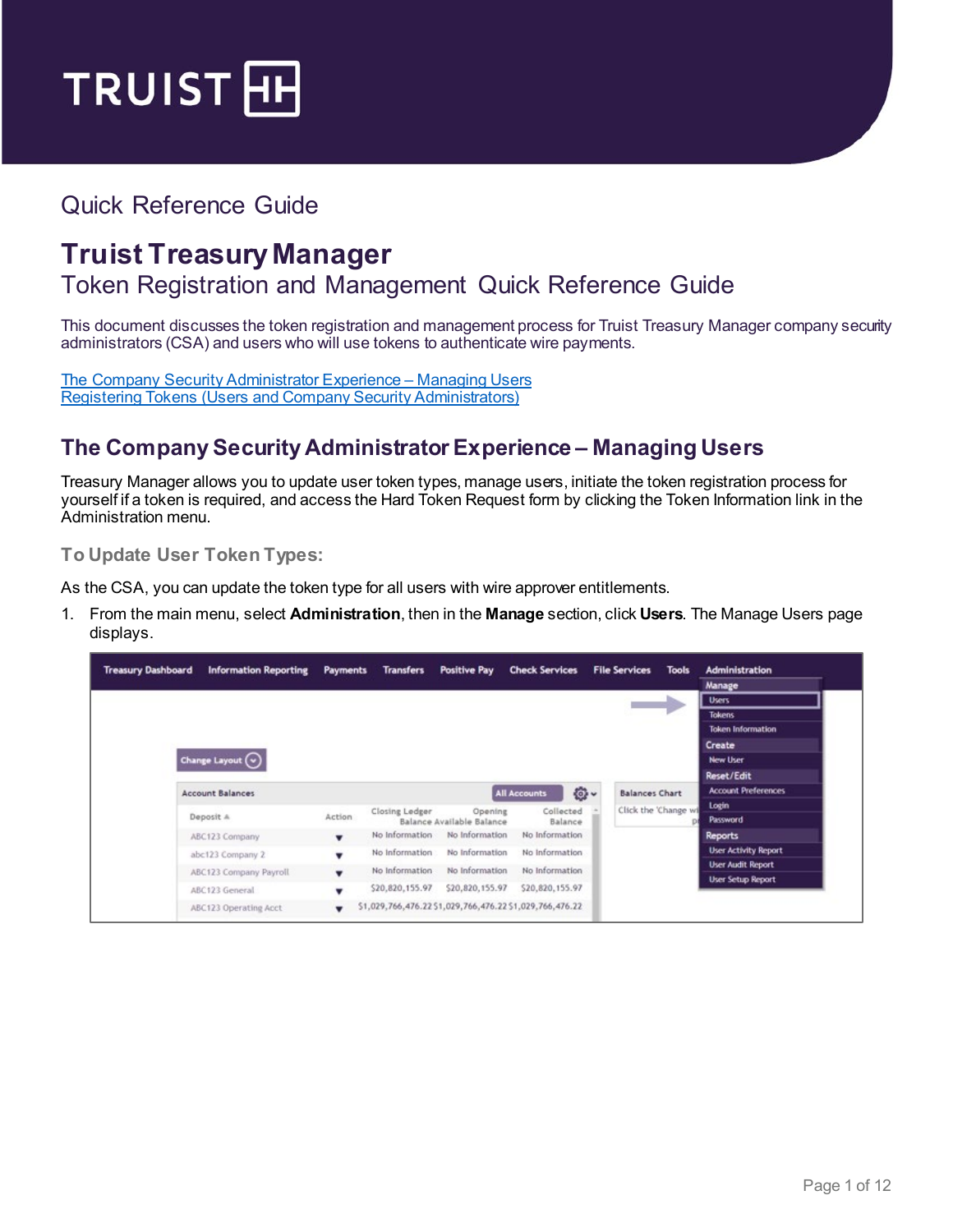

# Quick Reference Guide

# **Truist Treasury Manager**

### Token Registration and Management Quick Reference Guide

This document discusses the token registration and management process for Truist Treasury Manager company security administrators (CSA) and users who will use tokens to authenticate wire payments.

[The Company Security Administrator](#page-0-0) Experience – Managing Users Registering Tokens [\(Users and Company Security Administrators\)](#page-6-0)

### <span id="page-0-0"></span>**The Company Security Administrator Experience – Managing Users**

Treasury Manager allows you to update user token types, manage users, initiate the token registration process for yourself if a token is required, and access the Hard Token Request form by clicking the Token Information link in the Administration menu.

**To Update User Token Types:**

As the CSA, you can update the token type for all users with wire approver entitlements.

1. From the main menu, select **Administration**, then in the **Manage** section, click **Users**. The Manage Users page displays.

| <b>Treasury Dashboard</b> | <b>Information Reporting</b> | Payments                 | <b>Transfers</b> | <b>Positive Pay</b>       | <b>Check Services</b>                                    |           | <b>File Services</b>  | <b>Tools</b> | <b>Administration</b>       |
|---------------------------|------------------------------|--------------------------|------------------|---------------------------|----------------------------------------------------------|-----------|-----------------------|--------------|-----------------------------|
|                           |                              |                          |                  |                           |                                                          |           |                       |              | Manage                      |
|                           |                              |                          |                  |                           |                                                          |           |                       |              | <b>Users</b>                |
|                           |                              |                          |                  |                           |                                                          |           |                       |              | <b>Tokens</b>               |
|                           |                              |                          |                  |                           |                                                          |           |                       |              | <b>Token Information</b>    |
|                           |                              |                          |                  |                           |                                                          |           |                       |              | Create                      |
|                           | Change Layout $\bigodot$     |                          |                  |                           |                                                          |           |                       |              | <b>New User</b>             |
|                           |                              |                          |                  |                           |                                                          |           |                       |              | Reset/Edit                  |
|                           | <b>Account Balances</b>      |                          |                  |                           | <b>All Accounts</b>                                      | <b>Q·</b> | <b>Balances Chart</b> |              | <b>Account Preferences</b>  |
|                           |                              |                          | Closing Ledger   | Opening                   | Collected                                                |           | Click the 'Change wi  |              | Login                       |
|                           | Deposit A                    | <b>Action</b>            |                  | Balance Available Balance | Balance                                                  |           |                       |              | <b>Password</b>             |
|                           | ABC123 Company               | $\blacksquare$           | No Information   | No Information            | No Information                                           |           |                       |              | <b>Reports</b>              |
|                           | abc123 Company 2             | $\overline{\phantom{a}}$ | No Information   | No Information            | No Information                                           |           |                       |              | <b>User Activity Report</b> |
|                           | ABC123 Company Payroll       |                          | No Information   | No Information            | No Information                                           |           |                       |              | <b>User Audit Report</b>    |
|                           |                              |                          | \$20,820,155.97  | \$20,820,155.97           | \$20,820,155.97                                          |           |                       |              | <b>User Setup Report</b>    |
|                           | ABC123 General               | ٠                        |                  |                           |                                                          |           |                       |              |                             |
|                           | ABC123 Operating Acct        |                          |                  |                           | \$1,029,766,476.22 \$1,029,766,476.22 \$1,029,766,476.22 |           |                       |              |                             |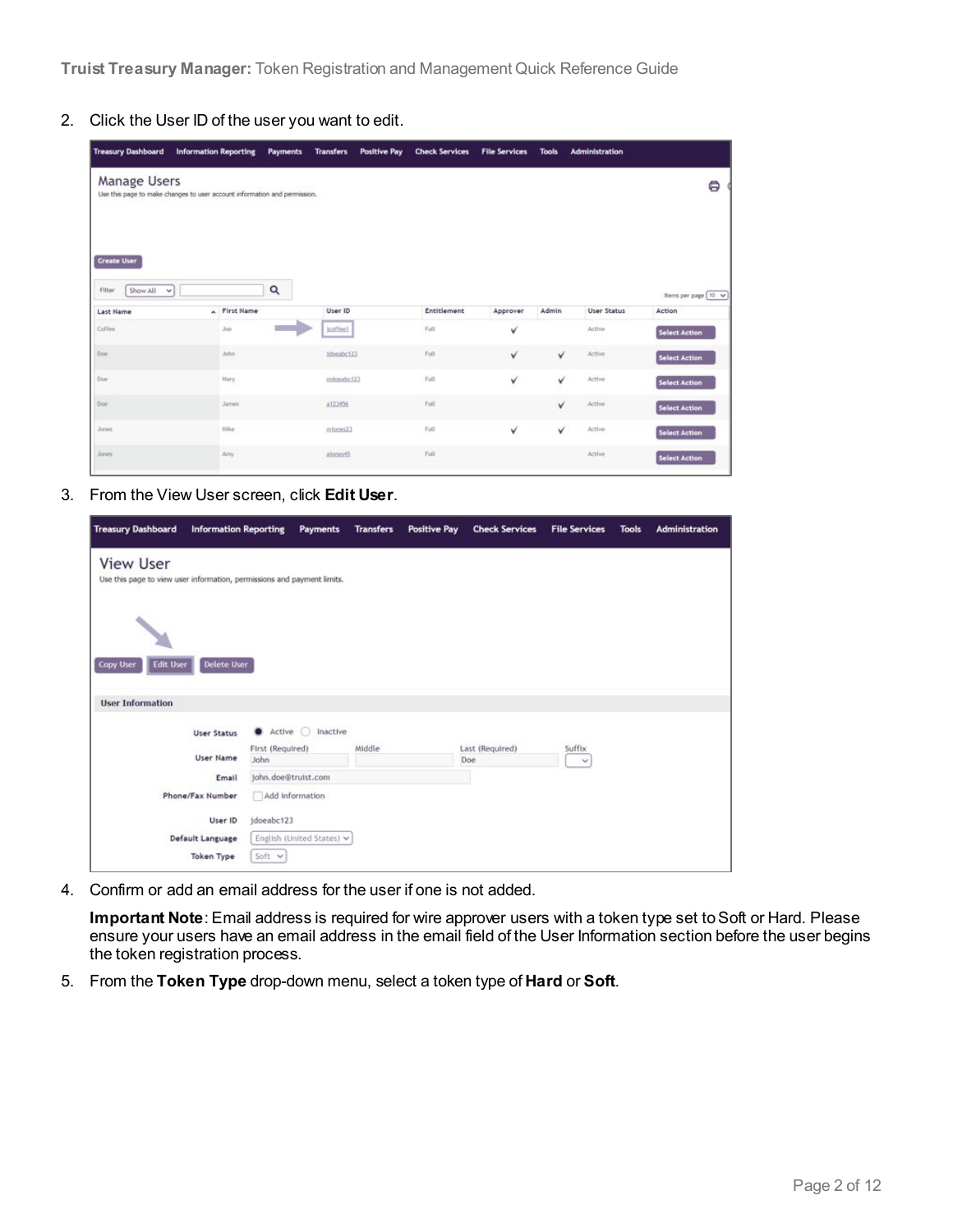**Truist Treasury Manager:** Token Registration and Management Quick Reference Guide

2. Click the User ID of the user you want to edit.

| <b>Treasury Dashboard</b>                          | <b>Information Reporting</b>                                              | <b>Payments</b> | <b>Transfers</b> | <b>Positive Pay</b> | <b>Check Services</b> | <b>File Services</b> | <b>Tools</b> | Administration     |                      |
|----------------------------------------------------|---------------------------------------------------------------------------|-----------------|------------------|---------------------|-----------------------|----------------------|--------------|--------------------|----------------------|
| <b>Manage Users</b>                                | Use this page to make changes to user account information and permission. |                 |                  |                     |                       |                      |              |                    | ₿                    |
| <b>Create User</b><br>Show All<br>Filter<br>$\sim$ |                                                                           | Q               |                  |                     |                       |                      |              |                    | Items per page 10 v  |
| <b>Last Name</b>                                   | A First Name                                                              |                 | User ID          |                     | Entitlement           | Approver             | Admin        | <b>User Status</b> | Action               |
| Coffee                                             | 300                                                                       |                 | jcoffee1         |                     | Full                  | v                    |              | Active             | <b>Select Action</b> |
| Doe                                                | John                                                                      |                 | idonabc123       |                     | Full.                 | v                    | v            | Active             | <b>Select Action</b> |
| Doe                                                | Mary                                                                      |                 | mdoeabc123       |                     | Full.                 | v                    | v            | Active             | <b>Select Action</b> |
| Doe                                                | <b>James</b>                                                              |                 | a123456          |                     | Full                  |                      | ✓            | Active             | <b>Select Action</b> |
| <b>Jones</b>                                       | MRe                                                                       |                 | miones23         |                     | Full                  | v                    | v            | Active             | <b>Select Action</b> |
| Jones.                                             | Arry                                                                      |                 | alones45         |                     | Full                  |                      |              | Active             | Select Action        |

3. From the View User screen, click **Edit User**.

| <b>Treasury Dashboard</b>                                                                   | <b>Information Reporting</b>  | <b>Payments</b>           | <b>Transfers</b> | <b>Positive Pay</b> | <b>Check Services</b> | <b>File Services</b> | <b>Tools</b> | Administration |
|---------------------------------------------------------------------------------------------|-------------------------------|---------------------------|------------------|---------------------|-----------------------|----------------------|--------------|----------------|
| <b>View User</b><br>Use this page to view user information, permissions and payment limits. |                               |                           |                  |                     |                       |                      |              |                |
| <b>Edit User</b><br><b>Copy User</b>                                                        | <b>Delete User</b>            |                           |                  |                     |                       |                      |              |                |
|                                                                                             |                               |                           |                  |                     |                       |                      |              |                |
| <b>User Information</b>                                                                     |                               |                           |                  |                     |                       |                      |              |                |
|                                                                                             | Active<br><b>User Status</b>  | Inactive                  |                  |                     |                       |                      |              |                |
|                                                                                             | First (Required)<br>User Name |                           | Middle           |                     | Last (Required)       | Suffix               |              |                |
|                                                                                             | John                          |                           |                  |                     | Doe                   | $\checkmark$         |              |                |
|                                                                                             | john.doe@truist.com<br>Email  |                           |                  |                     |                       |                      |              |                |
| Phone/Fax Number                                                                            | Add information               |                           |                  |                     |                       |                      |              |                |
|                                                                                             | jdoeabc123<br>User ID         |                           |                  |                     |                       |                      |              |                |
| <b>Default Language</b>                                                                     |                               | English (United States) v |                  |                     |                       |                      |              |                |
|                                                                                             | Soft v<br>Token Type          |                           |                  |                     |                       |                      |              |                |

4. Confirm or add an email address for the user if one is not added.

**Important Note**: Email address is required for wire approver users with a token type set to Soft or Hard. Please ensure your users have an email address in the email field of the User Information section before the user begins the token registration process.

5. From the **Token Type** drop-down menu, select a token type of **Hard** or **Soft**.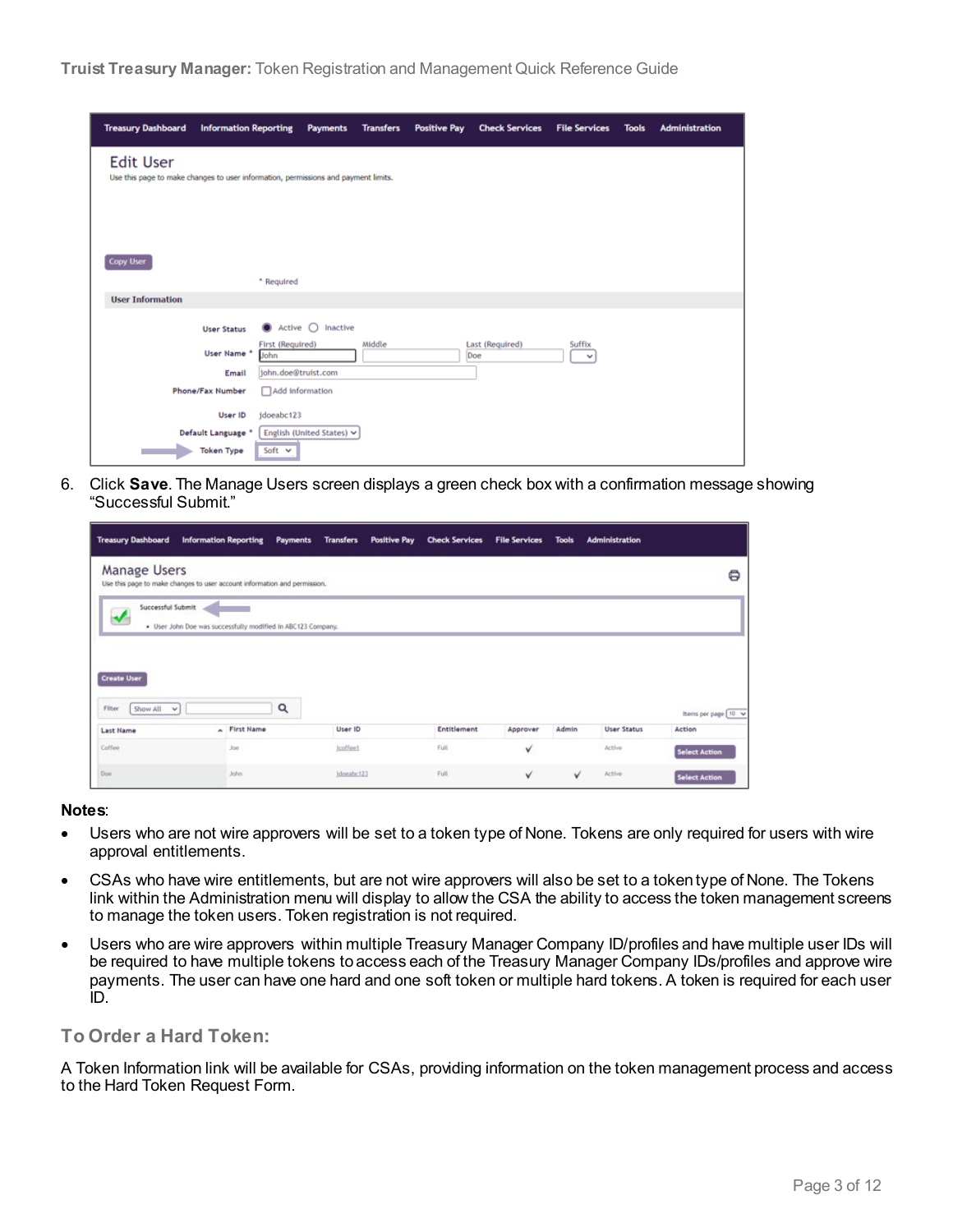| <b>Treasury Dashboard</b>                                                                              | <b>Information Reporting</b>     | <b>Payments</b>                      | <b>Transfers</b> | <b>Positive Pay</b> | <b>Check Services</b>  | <b>File Services</b>   | <b>Tools</b> | <b>Administration</b> |
|--------------------------------------------------------------------------------------------------------|----------------------------------|--------------------------------------|------------------|---------------------|------------------------|------------------------|--------------|-----------------------|
| <b>Edit User</b><br>Use this page to make changes to user information, permissions and payment limits. |                                  |                                      |                  |                     |                        |                        |              |                       |
| <b>Copy User</b>                                                                                       | * Required                       |                                      |                  |                     |                        |                        |              |                       |
| <b>User Information</b>                                                                                |                                  |                                      |                  |                     |                        |                        |              |                       |
|                                                                                                        | <b>User Status</b>               | $\bullet$ Active $\circ$<br>Inactive |                  |                     |                        |                        |              |                       |
|                                                                                                        | User Name *<br>John              | First (Required)                     | Middle           |                     | Last (Required)<br>Doe | Suffix<br>$\checkmark$ |              |                       |
|                                                                                                        | Email                            | john.doe@truist.com                  |                  |                     |                        |                        |              |                       |
|                                                                                                        | Phone/Fax Number                 | Add information                      |                  |                     |                        |                        |              |                       |
|                                                                                                        | User ID<br>jdoeabc123            |                                      |                  |                     |                        |                        |              |                       |
|                                                                                                        | Default Language *               | English (United States) v            |                  |                     |                        |                        |              |                       |
|                                                                                                        | Soft $\vee$<br><b>Token Type</b> |                                      |                  |                     |                        |                        |              |                       |

6. Click **Save**. The Manage Users screen displays a green check box with a confirmation message showing "Successful Submit."

| <b>Treasury Dashboard</b>    | <b>Information Reporting</b><br>Payments                                  | <b>Transfers</b><br>Positive Pay | <b>Check Services</b> | <b>File Services</b> | <b>Tools</b> | <b>Administration</b> |                      |
|------------------------------|---------------------------------------------------------------------------|----------------------------------|-----------------------|----------------------|--------------|-----------------------|----------------------|
| Manage Users                 | Use this page to make changes to user account information and permission. |                                  |                       |                      |              |                       | 8                    |
| Successful Submit            | . User John Doe was successfully modified in ABC123 Company.              |                                  |                       |                      |              |                       |                      |
| <b>Create User</b>           |                                                                           |                                  |                       |                      |              |                       |                      |
| Show All<br>Filter<br>$\vee$ | Q                                                                         |                                  |                       |                      |              |                       | Items per page 10 v  |
| <b>Last Name</b>             | A First Name                                                              | User ID                          | Entitlement           | Approver             | Admin        | <b>User Status</b>    | Action               |
| Coffee                       | Joe                                                                       | <i>icoffeet</i>                  | Full                  | v                    |              | Active                | <b>Select Action</b> |
| Doe:                         | John.                                                                     | Idoeabc123                       | Full                  | v                    | v            | Active                | <b>Select Action</b> |

#### **Notes**:

- Users who are not wire approvers will be set to a token type of None. Tokens are only required for users with wire approval entitlements.
- CSAs who have wire entitlements, but are not wire approvers will also be set to a token type of None. The Tokens link within the Administration menu will display to allow the CSA the ability to access the token management screens to manage the token users. Token registration is not required.
- Users who are wire approvers within multiple Treasury Manager Company ID/profiles and have multiple user IDs will be required to have multiple tokens to access each of the Treasury Manager Company IDs/profiles and approve wire payments. The user can have one hard and one soft token or multiple hard tokens. A token is required for each user ID.

#### **To Order a Hard Token:**

A Token Information link will be available for CSAs, providing information on the token management process and access to the Hard Token Request Form.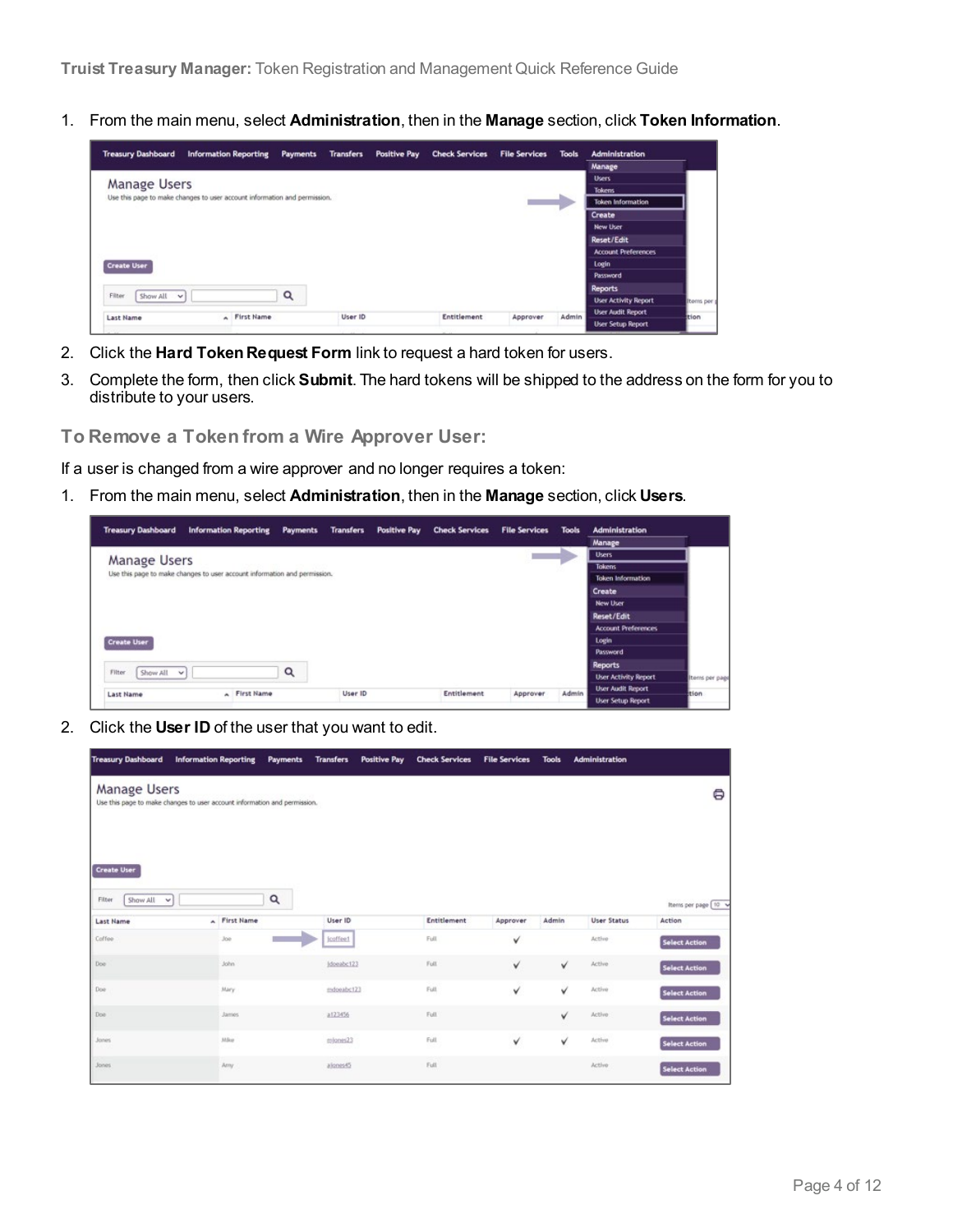1. From the main menu, select **Administration**, then in the **Manage** section, click **Token Information**.

| <b>Treasury Dashboard</b>  | <b>Information Reporting</b>                                              |   |         | Payments Transfers Positive Pay | <b>Check Services</b> | <b>File Services Tools</b> |       | <b>Administration</b>       |                   |
|----------------------------|---------------------------------------------------------------------------|---|---------|---------------------------------|-----------------------|----------------------------|-------|-----------------------------|-------------------|
|                            |                                                                           |   |         |                                 |                       |                            |       | Manage                      |                   |
|                            |                                                                           |   |         |                                 |                       |                            |       | <b>Users</b>                |                   |
| Manage Users               |                                                                           |   |         |                                 |                       |                            |       | <b>Tokens</b>               |                   |
|                            | Use this page to make changes to user account information and permission. |   |         |                                 |                       |                            |       | <b>Token Information</b>    |                   |
|                            |                                                                           |   |         |                                 |                       |                            |       | Create                      |                   |
|                            |                                                                           |   |         |                                 |                       |                            |       | <b>New User</b>             |                   |
|                            |                                                                           |   |         |                                 |                       |                            |       | <b>Reset/Edit</b>           |                   |
|                            |                                                                           |   |         |                                 |                       |                            |       | <b>Account Preferences</b>  |                   |
| <b>Create User</b>         |                                                                           |   |         |                                 |                       |                            |       | Login                       |                   |
|                            |                                                                           |   |         |                                 |                       |                            |       | Password                    |                   |
|                            |                                                                           | Q |         |                                 |                       |                            |       | <b>Reports</b>              |                   |
|                            |                                                                           |   |         |                                 |                       |                            |       |                             |                   |
| Show All v                 |                                                                           |   |         |                                 |                       |                            |       | <b>User Activity Report</b> |                   |
| Filter<br><b>Last Name</b> | A First Name                                                              |   | User ID |                                 | Entitlement           | Approver                   | Admin | <b>User Audit Report</b>    | Items per<br>tion |

- 2. Click the **Hard Token Request Form** link to request a hard token for users.
- 3. Complete the form, then click **Submit**. The hard tokens will be shipped to the address on the form for you to distribute to your users.
- **To Remove a Token from a Wire Approver User:**

If a user is changed from a wire approver and no longer requires a token:

1. From the main menu, select **Administration**, then in the **Manage** section, click **Users**.

| <b>Treasury Dashboard</b> | <b>Information Reporting</b>                                              |   | Payments Transfers | Positive Pay Check Services | <b>File Services</b> | <b>Tools</b> | <b>Administration</b>       |                |
|---------------------------|---------------------------------------------------------------------------|---|--------------------|-----------------------------|----------------------|--------------|-----------------------------|----------------|
|                           |                                                                           |   |                    |                             |                      |              | Manage                      |                |
| Manage Users              |                                                                           |   |                    |                             |                      |              | <b>Users</b>                |                |
|                           |                                                                           |   |                    |                             |                      |              | <b>Tokens</b>               |                |
|                           | Use this page to make changes to user account information and permission. |   |                    |                             |                      |              | <b>Token Information</b>    |                |
|                           |                                                                           |   |                    |                             |                      |              | Create                      |                |
|                           |                                                                           |   |                    |                             |                      |              | <b>New User</b>             |                |
|                           |                                                                           |   |                    |                             |                      |              | Reset/Edit                  |                |
|                           |                                                                           |   |                    |                             |                      |              | <b>Account Preferences</b>  |                |
| <b>Create User</b>        |                                                                           |   |                    |                             |                      |              | Login                       |                |
|                           |                                                                           |   |                    |                             |                      |              | <b>Password</b>             |                |
|                           |                                                                           |   |                    |                             |                      |              | <b>Reports</b>              |                |
| Show All v<br>Filter      |                                                                           | Q |                    |                             |                      |              | <b>User Activity Report</b> | Items per page |
| Last Name                 | A First Name                                                              |   | User ID            | Entitlement                 | Approver             | Admin        | <b>User Audit Report</b>    | tion           |
|                           |                                                                           |   |                    |                             |                      |              | <b>User Setup Report</b>    |                |

2. Click the **User ID** of the user that you want to edit.

| <b>Treasury Dashboard</b>                                | <b>Information Reporting</b>                                              | Payments | <b>Transfers</b> | <b>Positive Pay</b> | <b>Check Services</b> | <b>File Services</b> | <b>Tools</b> | <b>Administration</b> |                      |
|----------------------------------------------------------|---------------------------------------------------------------------------|----------|------------------|---------------------|-----------------------|----------------------|--------------|-----------------------|----------------------|
| Manage Users                                             | Use this page to make changes to user account information and permission. |          |                  |                     |                       |                      |              |                       | 8                    |
| <b>Create User</b><br>Show All<br>Filter<br>$\mathbf{v}$ |                                                                           | Q        |                  |                     |                       |                      |              |                       | Items per page 10 %  |
| <b>Last Name</b>                                         | A First Name                                                              |          | User ID          |                     | Entitlement           | Approver             | Admin        | <b>User Status</b>    | Action               |
| Coffee                                                   | Joe                                                                       |          | jcoffee1         |                     | Full                  | v                    |              | Active                | <b>Select Action</b> |
| Doe                                                      | John                                                                      |          | Idoeabc123       |                     | Full                  | ✓                    | v            | Active                | <b>Select Action</b> |
| Doe                                                      | Mary                                                                      |          | mdoeabc123       |                     | Full                  | v                    | V            | Active                | <b>Select Action</b> |
| Doe                                                      | Janes                                                                     |          | a123456          |                     | Full                  |                      | v            | Active                | <b>Select Action</b> |
| Jones <sup></sup>                                        | Mike                                                                      |          | miones23         |                     | Full                  | ✓                    | V            | Active                | <b>Select Action</b> |
| <b>Jones</b>                                             | Arry                                                                      |          | alones45         |                     | Full                  |                      |              | Active                | <b>Select Action</b> |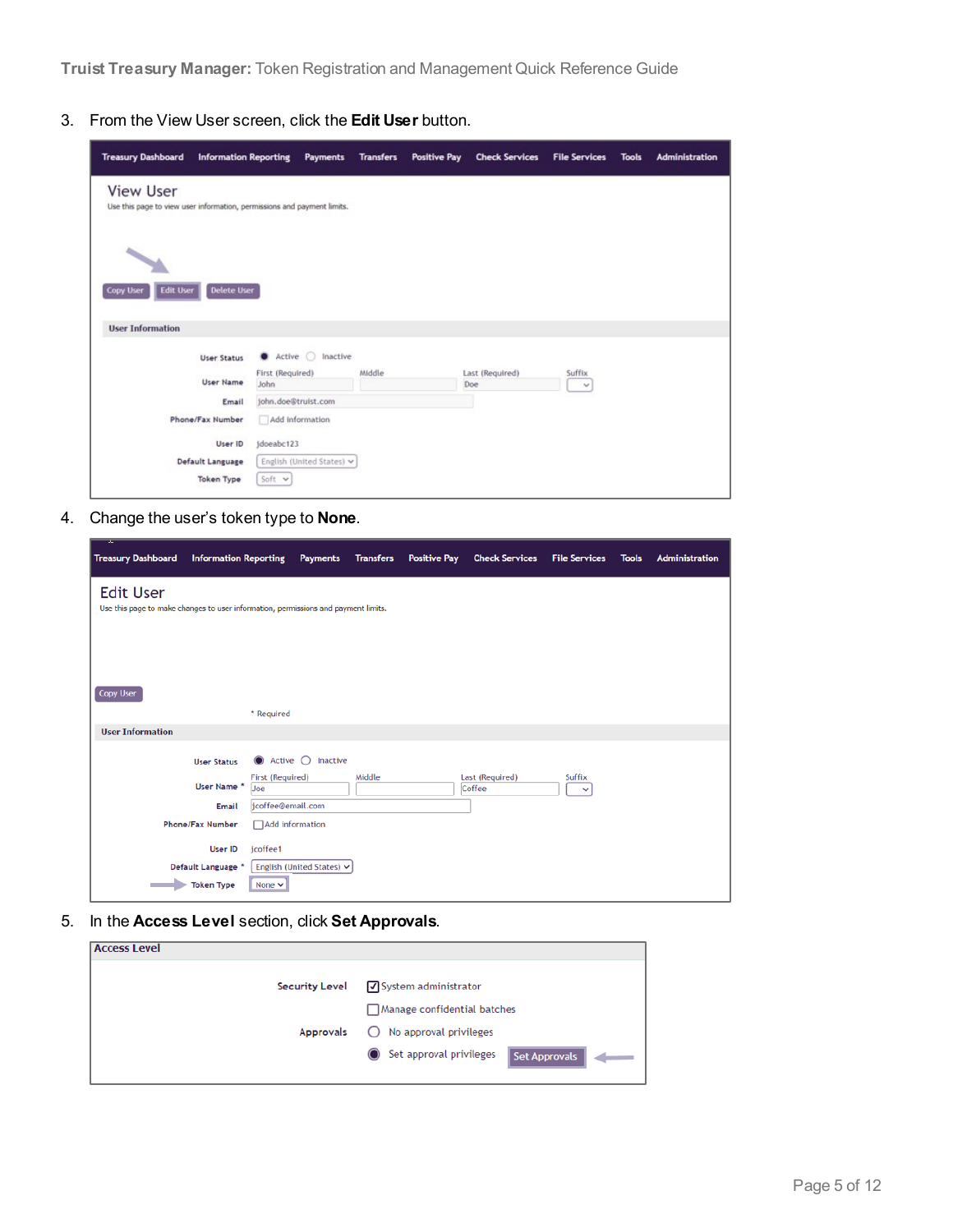**Truist Treasury Manager:** Token Registration and Management Quick Reference Guide

3. From the View User screen, click the **Edit User** button.

| <b>Treasury Dashboard</b>                                                                   | <b>Information Reporting</b> |                             | Payments                  | <b>Transfers</b> | <b>Positive Pay</b> | <b>Check Services</b>  | <b>File Services</b> | <b>Tools</b> | <b>Administration</b> |
|---------------------------------------------------------------------------------------------|------------------------------|-----------------------------|---------------------------|------------------|---------------------|------------------------|----------------------|--------------|-----------------------|
| <b>View User</b><br>Use this page to view user information, permissions and payment limits. |                              |                             |                           |                  |                     |                        |                      |              |                       |
| <b>Copy User</b><br><b>Edit User</b>                                                        | <b>Delete User</b>           |                             |                           |                  |                     |                        |                      |              |                       |
| <b>User Information</b>                                                                     |                              |                             |                           |                  |                     |                        |                      |              |                       |
|                                                                                             | <b>User Status</b>           | $\bullet$ Active $\bigcirc$ | Inactive                  |                  |                     |                        |                      |              |                       |
|                                                                                             | <b>User Name</b>             | First (Required)<br>John    |                           | Middle           |                     | Last (Required)<br>Doe | Suffix<br>$\sim$     |              |                       |
|                                                                                             | Email                        | john.doe@truist.com         |                           |                  |                     |                        |                      |              |                       |
|                                                                                             | Phone/Fax Number             | Add information             |                           |                  |                     |                        |                      |              |                       |
|                                                                                             | User ID                      | idoeabc123                  |                           |                  |                     |                        |                      |              |                       |
|                                                                                             | Default Language             |                             | English (United States) v |                  |                     |                        |                      |              |                       |
|                                                                                             | <b>Token Type</b>            | Soft v                      |                           |                  |                     |                        |                      |              |                       |

4. Change the user's token type to **None**.

| <b>Treasury Dashboard</b>                                                                              | <b>Information Reporting</b> |                         | <b>Payments</b>           | <b>Transfers</b> | <b>Positive Pay</b> | <b>Check Services</b>     | <b>File Services</b>   | <b>Tools</b> | <b>Administration</b> |
|--------------------------------------------------------------------------------------------------------|------------------------------|-------------------------|---------------------------|------------------|---------------------|---------------------------|------------------------|--------------|-----------------------|
| <b>Edit User</b><br>Use this page to make changes to user information, permissions and payment limits. |                              |                         |                           |                  |                     |                           |                        |              |                       |
| <b>Copy User</b>                                                                                       |                              | * Required              |                           |                  |                     |                           |                        |              |                       |
| <b>User Information</b>                                                                                |                              |                         |                           |                  |                     |                           |                        |              |                       |
|                                                                                                        | <b>User Status</b>           | Active $\bigcirc$       | Inactive                  |                  |                     |                           |                        |              |                       |
|                                                                                                        | User Name *                  | First (Required)<br>Joe |                           | Middle           |                     | Last (Required)<br>Coffee | Suffix<br>$\checkmark$ |              |                       |
|                                                                                                        | Email                        | jcoffee@email.com       |                           |                  |                     |                           |                        |              |                       |
|                                                                                                        | Phone/Fax Number             | Add information         |                           |                  |                     |                           |                        |              |                       |
|                                                                                                        | <b>User ID</b>               | jcoffee1                |                           |                  |                     |                           |                        |              |                       |
|                                                                                                        | Default Language *           |                         | English (United States) v |                  |                     |                           |                        |              |                       |
|                                                                                                        | <b>Token Type</b>            | None $\vee$             |                           |                  |                     |                           |                        |              |                       |

5. In the **Access Level** section, click **Set Approvals**.

| √System administrator                    |
|------------------------------------------|
| Manage confidential batches              |
| $\bigcirc$ No approval privileges        |
| Set approval privileges<br>Set Approvals |
|                                          |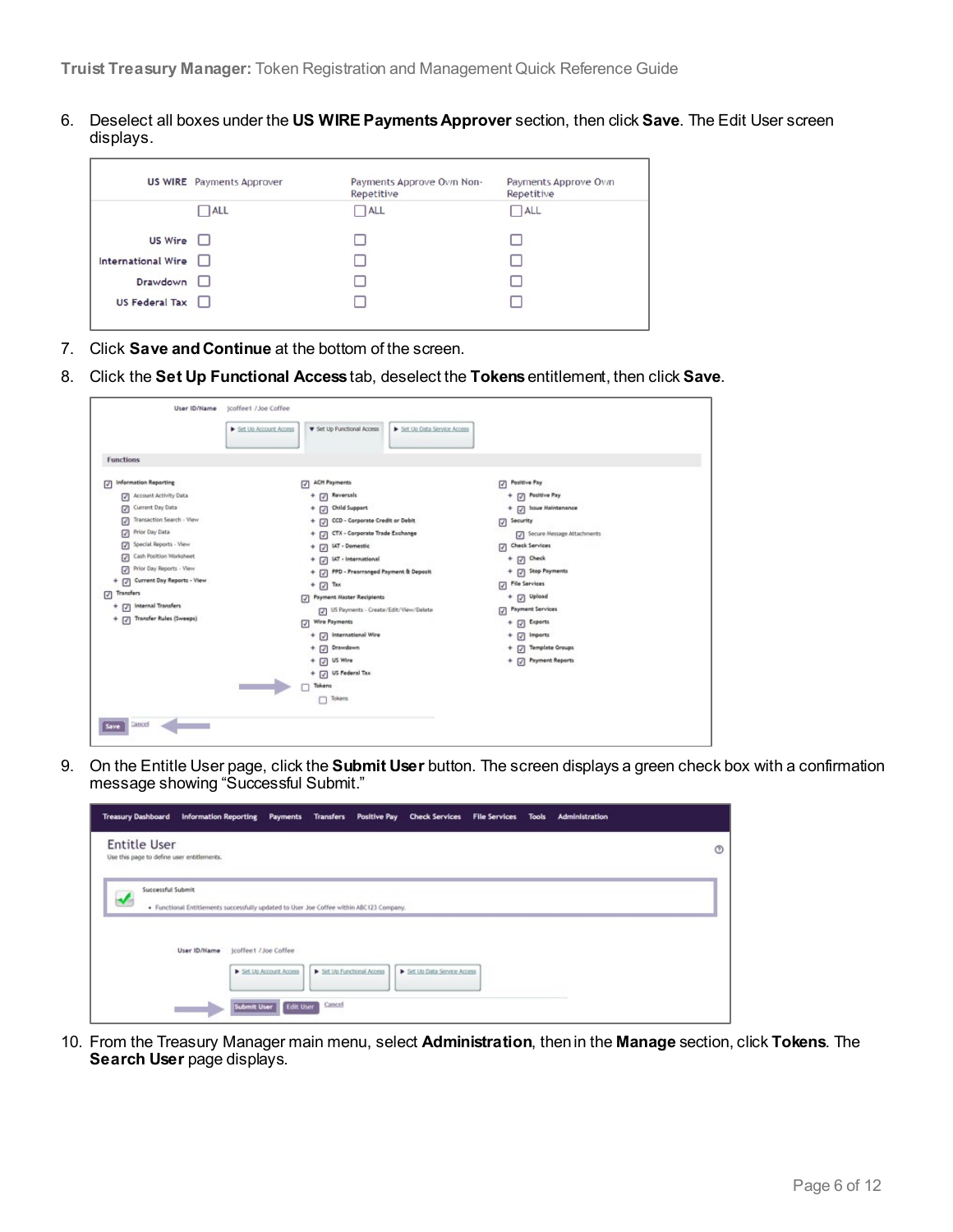6. Deselect all boxes under the **US WIRE Payments Approver** section, then click **Save**. The Edit User screen displays.

|                       | <b>US WIRE</b> Payments Approver | Payments Approve Ovn Non-<br>Repetitive | Payments Approve Own<br>Repetitive |
|-----------------------|----------------------------------|-----------------------------------------|------------------------------------|
|                       | $\Box$ ALL                       | $\neg$ ALL                              | $\neg$ ALL                         |
| <b>US Wire</b>        |                                  |                                         |                                    |
| International Wire    |                                  |                                         |                                    |
| Drawdown              |                                  |                                         |                                    |
| US Federal Tax $\Box$ |                                  |                                         |                                    |
|                       |                                  |                                         |                                    |

- 7. Click **Save and Continue** at the bottom of the screen.
- 8. Click the **Set Up Functional Access**tab, deselect the **Tokens**entitlement, then click **Save**.

| <b>v</b> Set Up Functional Access<br>Set Up Account Access<br>Set Up Data Service Access<br><b>Functions</b><br><b>Information Reporting</b><br><b>ACH Payments</b><br>Positive Pay<br>☑<br>☑<br>М<br>+ 7 Reversals<br>+ D Positive Pay<br>Account Activity Data<br>Current Day Data<br>+ 2 Child Support<br>+ 7 Issue Maintenance<br>Transaction Search - View<br>+ [7] CCD - Corporate Credit or Debit<br>Security<br>☑<br>Prior Day Data<br>+ 7 CTX - Corporate Trade Exchange<br>Secure Message Attachments<br>Special Reports - View<br>Check Services<br>+ [7] IAT - Domestic<br>Cash Position Worksheet<br>☑<br>$+$ [7] Check<br>+ 7 IAT - International<br>Prior Day Reports - View<br>+ 2 Stop Payments<br>+ 7 PPD - Prearranged Payment & Deposit<br>+ [7] Current Day Reports - View<br>File Services<br>$\overline{\mathcal{L}}$<br>$+$ $\boxed{7}$ Tax<br>Transfers<br>☑<br>+ [7] Upload<br>7 Payment Master Recipients<br>+ [7] Internal Transfers<br><b>Payment Services</b><br>[7] US Payments - Create/Edit/View/Delete<br>$\sqrt{2}$<br>+ [7] Transfer Rules (Sweeps)<br>Wire Payments<br>+ 2 Exports<br>$+$ $\boxed{3}$ International Wire<br>+ a pubout?<br>+ 7 Template Groups<br>+ 7 Drawdown<br>$+$ $\Box$ US Wire<br>+ 7 Payment Reports<br>+ 7 US Federal Tax<br>Tokens<br>Tokens<br>Cancel<br>Save | User ID/Name | jcoffee1 /Joe Coffee |  |
|------------------------------------------------------------------------------------------------------------------------------------------------------------------------------------------------------------------------------------------------------------------------------------------------------------------------------------------------------------------------------------------------------------------------------------------------------------------------------------------------------------------------------------------------------------------------------------------------------------------------------------------------------------------------------------------------------------------------------------------------------------------------------------------------------------------------------------------------------------------------------------------------------------------------------------------------------------------------------------------------------------------------------------------------------------------------------------------------------------------------------------------------------------------------------------------------------------------------------------------------------------------------------------------------------------------------------|--------------|----------------------|--|
|                                                                                                                                                                                                                                                                                                                                                                                                                                                                                                                                                                                                                                                                                                                                                                                                                                                                                                                                                                                                                                                                                                                                                                                                                                                                                                                              |              |                      |  |
|                                                                                                                                                                                                                                                                                                                                                                                                                                                                                                                                                                                                                                                                                                                                                                                                                                                                                                                                                                                                                                                                                                                                                                                                                                                                                                                              |              |                      |  |
|                                                                                                                                                                                                                                                                                                                                                                                                                                                                                                                                                                                                                                                                                                                                                                                                                                                                                                                                                                                                                                                                                                                                                                                                                                                                                                                              |              |                      |  |
|                                                                                                                                                                                                                                                                                                                                                                                                                                                                                                                                                                                                                                                                                                                                                                                                                                                                                                                                                                                                                                                                                                                                                                                                                                                                                                                              |              |                      |  |
|                                                                                                                                                                                                                                                                                                                                                                                                                                                                                                                                                                                                                                                                                                                                                                                                                                                                                                                                                                                                                                                                                                                                                                                                                                                                                                                              |              |                      |  |
|                                                                                                                                                                                                                                                                                                                                                                                                                                                                                                                                                                                                                                                                                                                                                                                                                                                                                                                                                                                                                                                                                                                                                                                                                                                                                                                              |              |                      |  |
|                                                                                                                                                                                                                                                                                                                                                                                                                                                                                                                                                                                                                                                                                                                                                                                                                                                                                                                                                                                                                                                                                                                                                                                                                                                                                                                              |              |                      |  |
|                                                                                                                                                                                                                                                                                                                                                                                                                                                                                                                                                                                                                                                                                                                                                                                                                                                                                                                                                                                                                                                                                                                                                                                                                                                                                                                              |              |                      |  |
|                                                                                                                                                                                                                                                                                                                                                                                                                                                                                                                                                                                                                                                                                                                                                                                                                                                                                                                                                                                                                                                                                                                                                                                                                                                                                                                              |              |                      |  |
|                                                                                                                                                                                                                                                                                                                                                                                                                                                                                                                                                                                                                                                                                                                                                                                                                                                                                                                                                                                                                                                                                                                                                                                                                                                                                                                              |              |                      |  |
|                                                                                                                                                                                                                                                                                                                                                                                                                                                                                                                                                                                                                                                                                                                                                                                                                                                                                                                                                                                                                                                                                                                                                                                                                                                                                                                              |              |                      |  |
|                                                                                                                                                                                                                                                                                                                                                                                                                                                                                                                                                                                                                                                                                                                                                                                                                                                                                                                                                                                                                                                                                                                                                                                                                                                                                                                              |              |                      |  |
|                                                                                                                                                                                                                                                                                                                                                                                                                                                                                                                                                                                                                                                                                                                                                                                                                                                                                                                                                                                                                                                                                                                                                                                                                                                                                                                              |              |                      |  |
|                                                                                                                                                                                                                                                                                                                                                                                                                                                                                                                                                                                                                                                                                                                                                                                                                                                                                                                                                                                                                                                                                                                                                                                                                                                                                                                              |              |                      |  |
|                                                                                                                                                                                                                                                                                                                                                                                                                                                                                                                                                                                                                                                                                                                                                                                                                                                                                                                                                                                                                                                                                                                                                                                                                                                                                                                              |              |                      |  |
|                                                                                                                                                                                                                                                                                                                                                                                                                                                                                                                                                                                                                                                                                                                                                                                                                                                                                                                                                                                                                                                                                                                                                                                                                                                                                                                              |              |                      |  |
|                                                                                                                                                                                                                                                                                                                                                                                                                                                                                                                                                                                                                                                                                                                                                                                                                                                                                                                                                                                                                                                                                                                                                                                                                                                                                                                              |              |                      |  |
|                                                                                                                                                                                                                                                                                                                                                                                                                                                                                                                                                                                                                                                                                                                                                                                                                                                                                                                                                                                                                                                                                                                                                                                                                                                                                                                              |              |                      |  |
|                                                                                                                                                                                                                                                                                                                                                                                                                                                                                                                                                                                                                                                                                                                                                                                                                                                                                                                                                                                                                                                                                                                                                                                                                                                                                                                              |              |                      |  |
|                                                                                                                                                                                                                                                                                                                                                                                                                                                                                                                                                                                                                                                                                                                                                                                                                                                                                                                                                                                                                                                                                                                                                                                                                                                                                                                              |              |                      |  |
|                                                                                                                                                                                                                                                                                                                                                                                                                                                                                                                                                                                                                                                                                                                                                                                                                                                                                                                                                                                                                                                                                                                                                                                                                                                                                                                              |              |                      |  |
|                                                                                                                                                                                                                                                                                                                                                                                                                                                                                                                                                                                                                                                                                                                                                                                                                                                                                                                                                                                                                                                                                                                                                                                                                                                                                                                              |              |                      |  |
|                                                                                                                                                                                                                                                                                                                                                                                                                                                                                                                                                                                                                                                                                                                                                                                                                                                                                                                                                                                                                                                                                                                                                                                                                                                                                                                              |              |                      |  |

9. On the Entitle User page, click the **Submit User** button. The screen displays a green check box with a confirmation message showing "Successful Submit."

| <b>Treasury Dashboard</b><br><b>Information Reporting</b>         | Payments                 | Transfers Positive Pay Check Services File Services                                      |                            | Tools | Administration |
|-------------------------------------------------------------------|--------------------------|------------------------------------------------------------------------------------------|----------------------------|-------|----------------|
| <b>Entitle User</b><br>Use this page to define user entitlements. |                          |                                                                                          |                            |       | $^{\circ}$     |
| Successful Submit                                                 |                          | . Functional Entitlements successfully updated to User Joe Coffee within ABC123 Company. |                            |       |                |
| User ID/Name                                                      | jcoffee1 /Joe Coffee     |                                                                                          |                            |       |                |
|                                                                   | Set Up Account Access    | Set Up Functional Access                                                                 | Set Up Data Service Access |       |                |
|                                                                   | Edit User<br>Submit User | Cancel                                                                                   |                            |       |                |

10. From the Treasury Manager main menu, select **Administration**, then in the **Manage** section, click **Tokens**. The **Search User** page displays.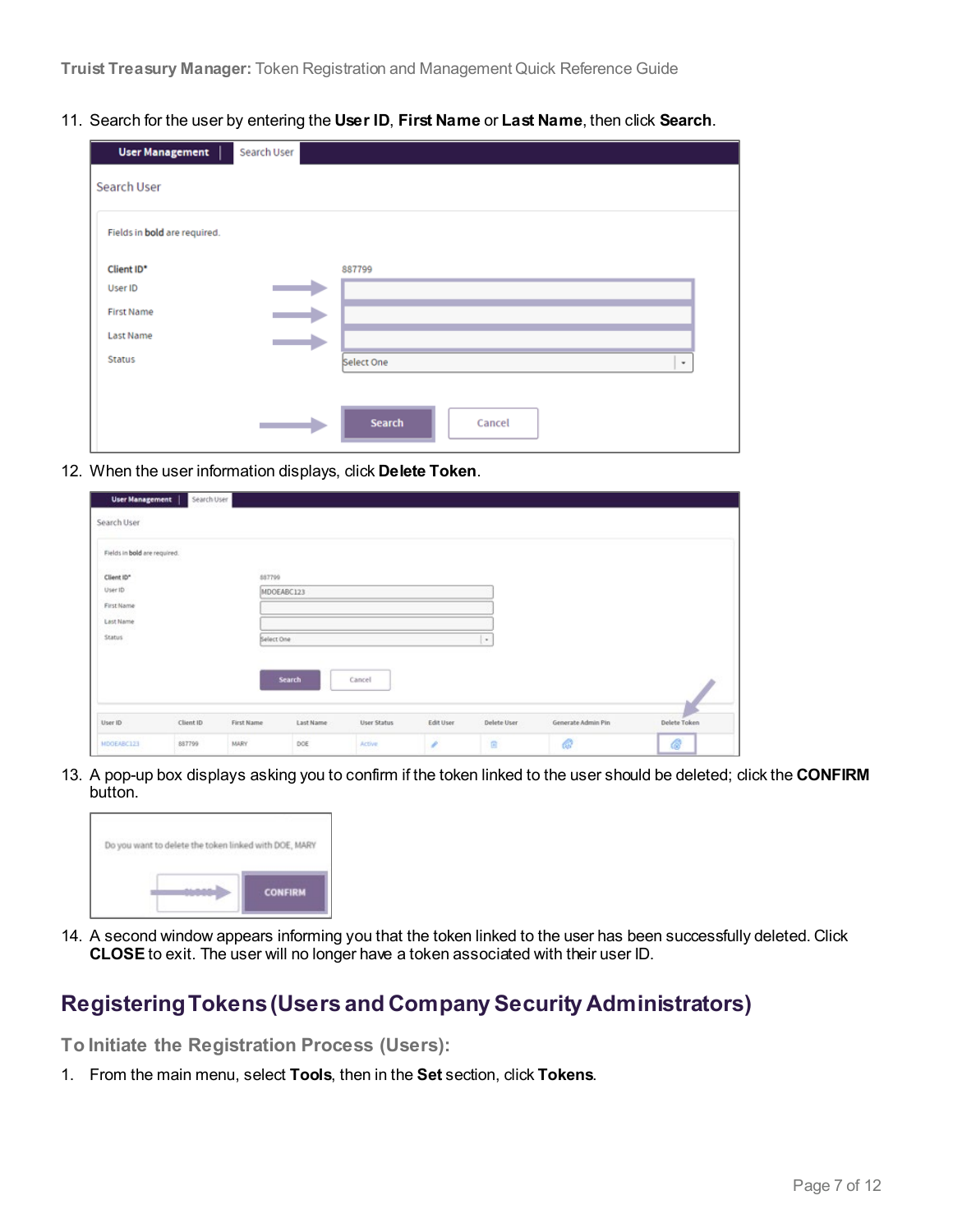11. Search for the user by entering the **User ID**, **First Name** or **Last Name**, then click **Search**.

| <b>User Management</b>       | Search User |                  |
|------------------------------|-------------|------------------|
| Search User                  |             |                  |
| Fields in bold are required. |             |                  |
| Client ID*                   |             | 887799           |
| User ID                      |             |                  |
| <b>First Name</b>            |             |                  |
| <b>Last Name</b>             |             |                  |
| <b>Status</b>                |             | Select One<br>٠  |
|                              |             |                  |
|                              |             | Search<br>Cancel |

12. When the user information displays, click **Delete Token**.

| User Management              | Search User |                  |               |                    |                  |                     |                    |              |
|------------------------------|-------------|------------------|---------------|--------------------|------------------|---------------------|--------------------|--------------|
| Search User                  |             |                  |               |                    |                  |                     |                    |              |
| Fields in bold are required. |             |                  |               |                    |                  |                     |                    |              |
| Client ID*                   |             | 003000<br>887799 |               |                    |                  |                     |                    |              |
| User ID                      |             |                  | MDOEABC123    |                    |                  |                     |                    |              |
| First Name                   |             |                  |               |                    |                  |                     |                    |              |
| Last Name                    |             |                  |               |                    |                  |                     |                    |              |
| <b>Status</b>                |             | Select One       |               |                    |                  | $\scriptstyle\star$ |                    |              |
|                              |             |                  |               |                    |                  |                     |                    |              |
|                              |             |                  |               |                    |                  |                     |                    |              |
|                              |             |                  | <b>Search</b> | Cancel             |                  |                     |                    |              |
|                              |             |                  |               |                    |                  |                     |                    |              |
| User ID                      | Client ID   | First Name       | Last Name     | <b>User Status</b> | <b>Edit User</b> | Delete User         | Generate Admin Pin | Delete Token |
| MDOEABC123                   | 887799      | MARY             | DOE           | Active             | v                | 曲                   | B                  | Ġ            |

13. A pop-up box displays asking you to confirm if the token linked to the user should be deleted; click the **CONFIRM** button.

<span id="page-6-0"></span>

14. A second window appears informing you that the token linked to the user has been successfully deleted. Click **CLOSE** to exit. The user will no longer have a token associated with their user ID.

### **Registering Tokens (Users and Company Security Administrators)**

**To Initiate the Registration Process (Users):**

1. From the main menu, select **Tools**, then in the **Set** section, click **Tokens**.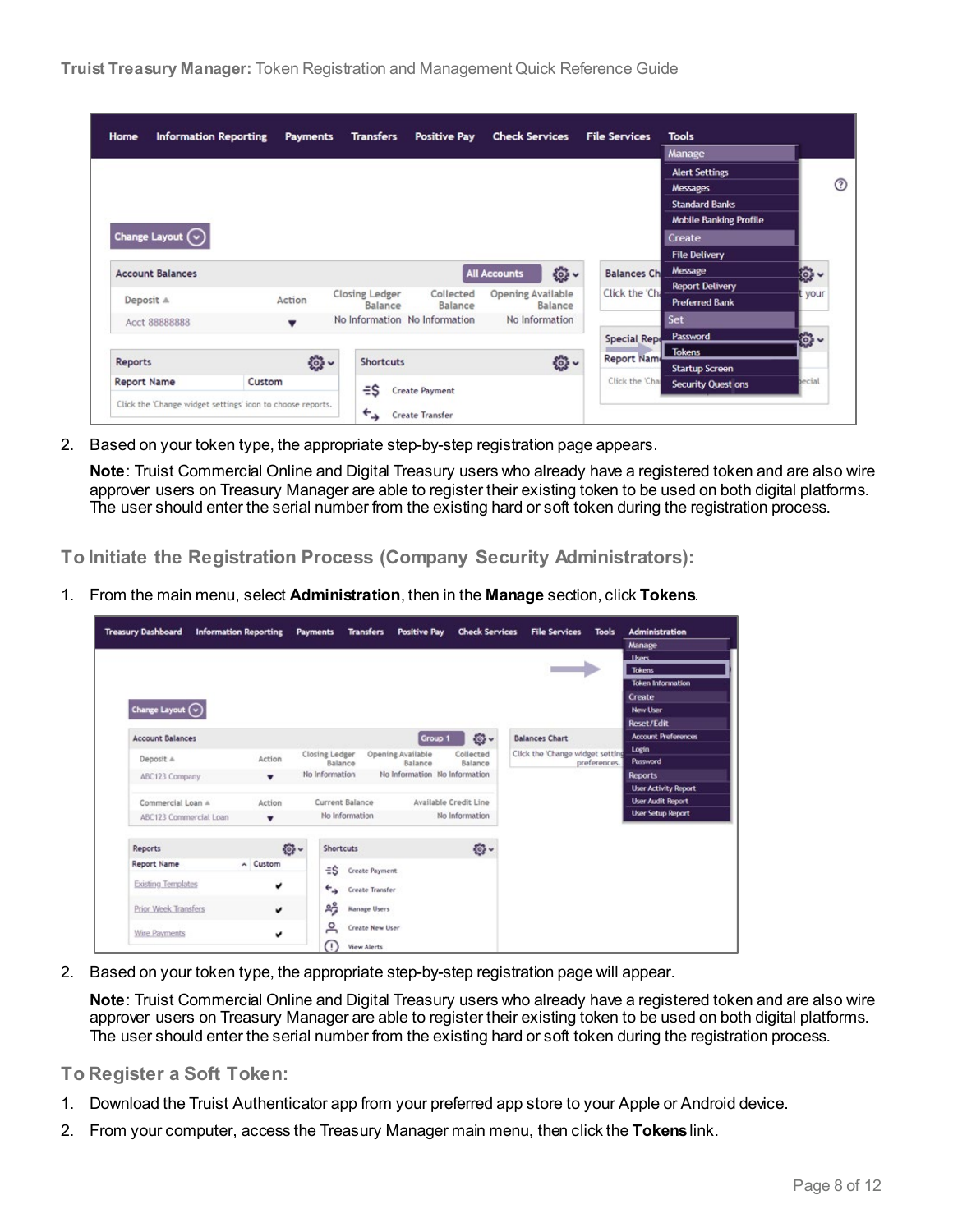| Home<br><b>Information Reporting</b>                       |        | <b>Payments</b> | <b>Transfers</b>      | <b>Positive Pay</b>           | <b>Check Services</b>    |          | <b>File Services</b> | <b>Tools</b>                  |          |
|------------------------------------------------------------|--------|-----------------|-----------------------|-------------------------------|--------------------------|----------|----------------------|-------------------------------|----------|
|                                                            |        |                 |                       |                               |                          |          |                      | Manage                        |          |
|                                                            |        |                 |                       |                               |                          |          |                      | <b>Alert Settings</b>         |          |
|                                                            |        |                 |                       |                               |                          |          |                      | <b>Messages</b>               |          |
|                                                            |        |                 |                       |                               |                          |          |                      | <b>Standard Banks</b>         |          |
|                                                            |        |                 |                       |                               |                          |          |                      | <b>Mobile Banking Profile</b> |          |
| Change Layout $\left(\sim\right)$                          |        |                 |                       |                               |                          |          |                      | Create                        |          |
|                                                            |        |                 |                       |                               |                          |          |                      | <b>File Delivery</b>          |          |
| <b>Account Balances</b>                                    |        |                 |                       |                               | <b>All Accounts</b>      | 發~       | <b>Balances Ch</b>   | Message                       | <b>o</b> |
|                                                            |        |                 | <b>Closing Ledger</b> | Collected                     | <b>Opening Available</b> |          | Click the 'Cha       | <b>Report Delivery</b>        | your     |
| Deposit A                                                  | Action |                 | Balance               | Balance                       |                          | Balance  |                      | <b>Preferred Bank</b>         |          |
| Acct 88888888                                              |        |                 |                       | No Information No Information | No Information           |          |                      | Set                           |          |
|                                                            |        |                 |                       |                               |                          |          | <b>Special Repo</b>  | Password                      | 鬱、       |
|                                                            |        |                 |                       |                               |                          |          | Report Name          | <b>Tokens</b>                 |          |
| <b>Reports</b>                                             |        | <b>卷、</b>       | <b>Shortcuts</b>      |                               |                          | <b>發</b> |                      | <b>Startup Screen</b>         |          |
| <b>Report Name</b>                                         | Custom |                 | $\equiv$ S            | <b>Create Payment</b>         |                          |          | Click the 'Char      | <b>Security Quest ons</b>     | pecial   |
| Click the 'Change widget settings' icon to choose reports. |        |                 | $\leftarrow$          | Create Transfer               |                          |          |                      |                               |          |

2. Based on your token type, the appropriate step-by-step registration page appears.

**Note**: Truist Commercial Online and Digital Treasury users who already have a registered token and are also wire approver users on Treasury Manager are able to register their existing token to be used on both digital platforms. The user should enter the serial number from the existing hard or soft token during the registration process.

**To Initiate the Registration Process (Company Security Administrators):**

1. From the main menu, select **Administration**, then in the **Manage** section, click **Tokens**.

| <b>Treasury Dashboard</b>                     | <b>Information Reporting</b> | <b>Payments</b><br><b>Transfers</b>         | <b>Positive Pay</b>           | <b>Check Services</b> | <b>File Services</b>             | <b>Tools</b> | <b>Administration</b><br>Manage |
|-----------------------------------------------|------------------------------|---------------------------------------------|-------------------------------|-----------------------|----------------------------------|--------------|---------------------------------|
|                                               |                              |                                             |                               |                       |                                  |              | <b>Thans</b>                    |
|                                               |                              |                                             |                               |                       |                                  |              | <b>Tokens</b>                   |
|                                               |                              |                                             |                               |                       |                                  |              | <b>Token Information</b>        |
|                                               |                              |                                             |                               |                       |                                  |              | Create                          |
| Change Layout $\left(\overline{\cdot}\right)$ |                              |                                             |                               |                       |                                  |              | New User                        |
|                                               |                              |                                             |                               |                       |                                  |              | Reset/Edit                      |
| <b>Account Balances</b>                       |                              |                                             | Group 1                       | $\odot$ -             | <b>Balances Chart</b>            |              | <b>Account Preferences</b>      |
|                                               | Action                       | Closing Ledger                              | <b>Opening Available</b>      | Collected             | Click the 'Change widget setting |              | Login                           |
| Deposit A                                     |                              | Balance                                     | Balance                       | Balance               |                                  | preferences. | Password                        |
| ABC123 Company                                |                              | No Information                              | No Information No Information |                       |                                  |              | <b>Reports</b>                  |
|                                               |                              |                                             |                               |                       |                                  |              | <b>User Activity Report</b>     |
| Commercial Loan A                             | Action                       | Current Balance                             |                               | Available Credit Line |                                  |              | <b>User Audit Report</b>        |
| ABC123 Commercial Loan                        | ۰                            | No Information                              |                               | No Information        |                                  |              | <b>User Setup Report</b>        |
| <b>Reports</b>                                | <b>卷-</b>                    | <b>Shortcuts</b>                            |                               | <b>O-</b>             |                                  |              |                                 |
| <b>Report Name</b>                            | $\land$ Custom               | ÷\$<br>Create Payment                       |                               |                       |                                  |              |                                 |
| <b>Existing Templates</b>                     | v                            | $\overline{\phantom{a}}$<br>Create Transfer |                               |                       |                                  |              |                                 |
| Prior Week Transfers                          | v                            | షిస్తే<br><b>Manage Users</b>               |                               |                       |                                  |              |                                 |
| Wire Payments                                 | v                            | 으<br>Create New User                        |                               |                       |                                  |              |                                 |

2. Based on your token type, the appropriate step-by-step registration page will appear.

**Note**: Truist Commercial Online and Digital Treasury users who already have a registered token and are also wire approver users on Treasury Manager are able to register their existing token to be used on both digital platforms. The user should enter the serial number from the existing hard or soft token during the registration process.

**To Register a Soft Token:**

- 1. Download the Truist Authenticator app from your preferred app store to your Apple or Android device.
- 2. From your computer, access the Treasury Manager main menu, then click the **Tokens**link.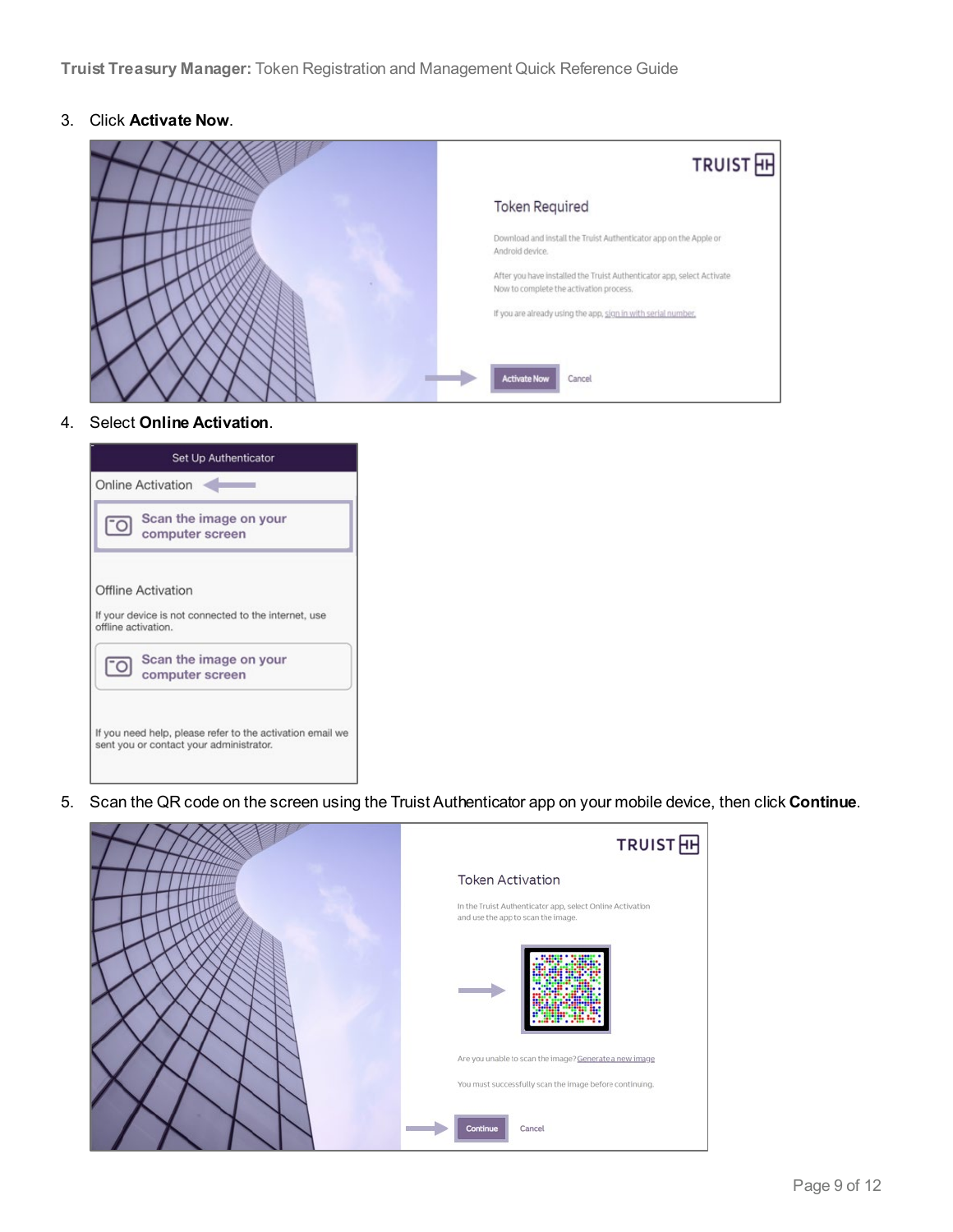3. Click **Activate Now**.



#### 4. Select **Online Activation**.

| Set Up Authenticator                                                                                 |
|------------------------------------------------------------------------------------------------------|
| <b>Online Activation</b>                                                                             |
| Scan the image on your<br>["O<br>computer screen                                                     |
| Offline Activation<br>If your device is not connected to the internet, use<br>offline activation.    |
| Scan the image on your<br>["O<br>computer screen                                                     |
| If you need help, please refer to the activation email we<br>sent you or contact your administrator. |

5. Scan the QR code on the screen using the Truist Authenticator app on your mobile device, then click **Continue**.

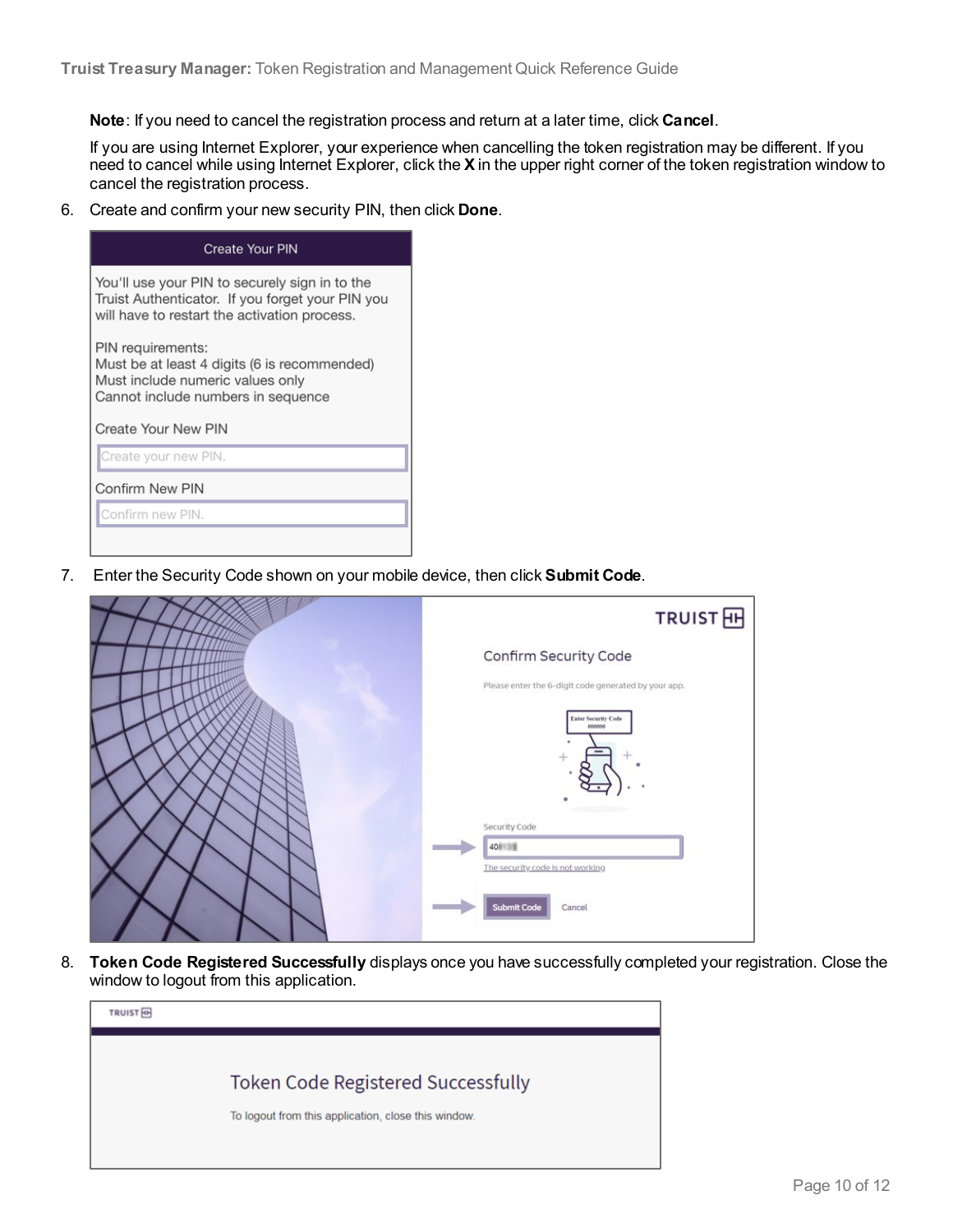**Note**: If you need to cancel the registration process and return at a later time, click **Cancel**.

If you are using Internet Explorer, your experience when cancelling the token registration may be different. If you need to cancel while using Internet Explorer, click the **X** in the upper right corner of the token registration window to cancel the registration process.

6. Create and confirm your new security PIN, then click **Done**.

| <b>Create Your PIN</b>                                                                                                                             |  |  |  |  |  |
|----------------------------------------------------------------------------------------------------------------------------------------------------|--|--|--|--|--|
| You'll use your PIN to securely sign in to the<br>Truist Authenticator. If you forget your PIN you<br>will have to restart the activation process. |  |  |  |  |  |
| PIN requirements:<br>Must be at least 4 digits (6 is recommended)<br>Must include numeric values only<br>Cannot include numbers in sequence        |  |  |  |  |  |
| Create Your New PIN                                                                                                                                |  |  |  |  |  |
| Create your new PIN.                                                                                                                               |  |  |  |  |  |
| Confirm New PIN                                                                                                                                    |  |  |  |  |  |
| Confirm new PIN.                                                                                                                                   |  |  |  |  |  |
|                                                                                                                                                    |  |  |  |  |  |

7. Enter the Security Code shown on your mobile device, then click **Submit Code**.



8. **Token Code Registered Successfully** displays once you have successfully completed your registration. Close the window to logout from this application.

| <b>TRUIST</b> |                                                     |
|---------------|-----------------------------------------------------|
|               |                                                     |
|               | <b>Token Code Registered Successfully</b>           |
|               | To logout from this application, close this window. |
|               |                                                     |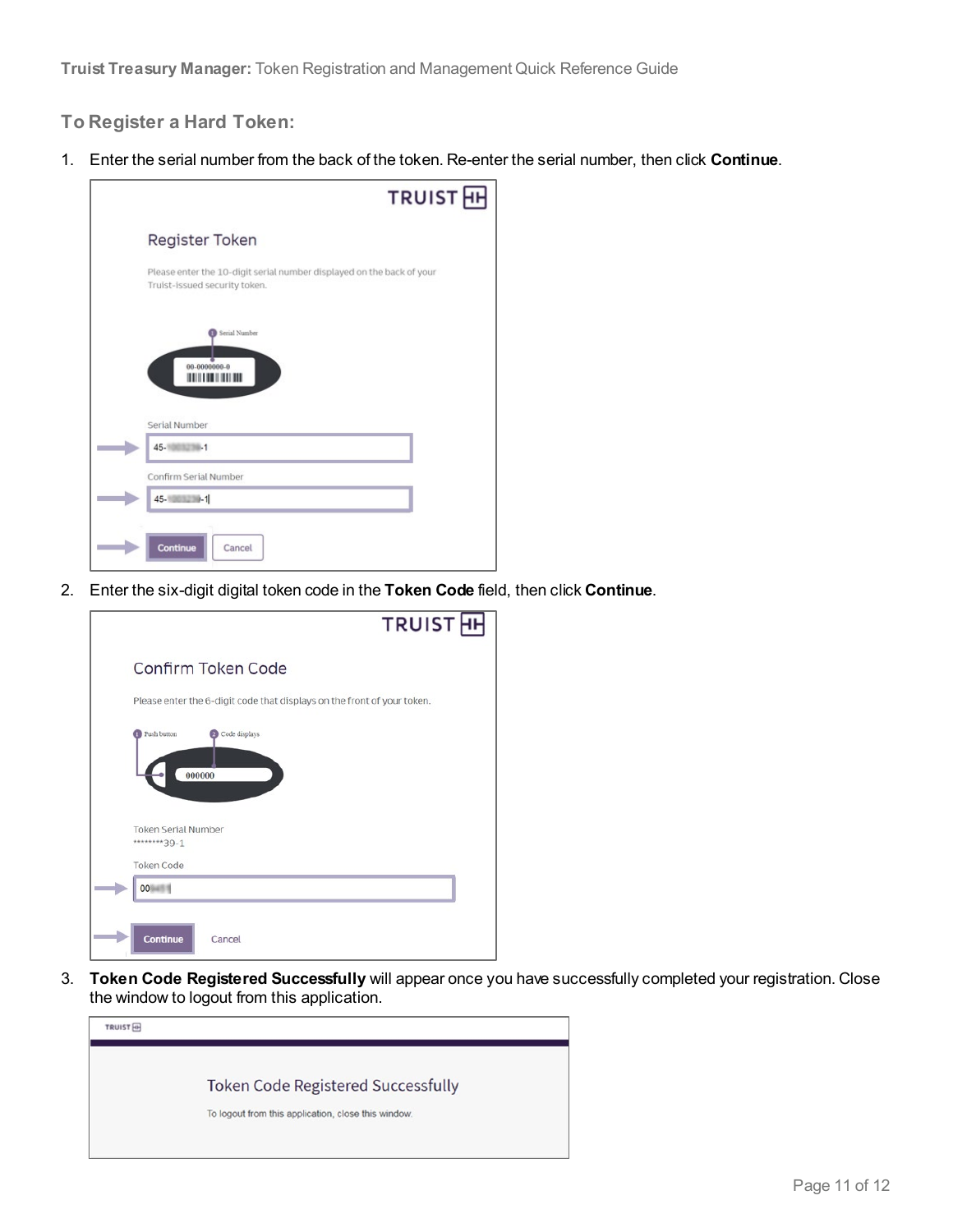#### **To Register a Hard Token:**

1. Enter the serial number from the back of the token. Re-enter the serial number, then click **Continue**.



2. Enter the six-digit digital token code in the **Token Code** field, then click **Continue**.



3. **Token Code Registered Successfully** will appear once you have successfully completed your registration. Close the window to logout from this application.

| <b>TRUIST</b> HH |                                                                                                  |
|------------------|--------------------------------------------------------------------------------------------------|
|                  |                                                                                                  |
|                  | <b>Token Code Registered Successfully</b><br>To logout from this application, close this window. |
|                  |                                                                                                  |